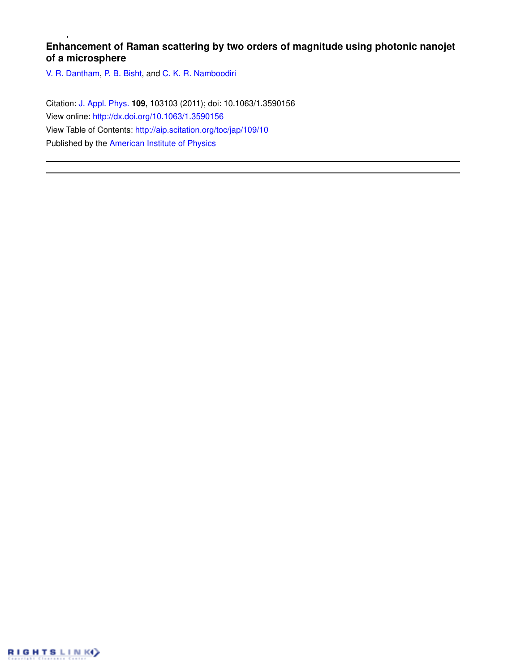# **Enhancement of Raman scattering by two orders of magnitude using photonic nanojet of a microsphere**

V. R. Dantham, P. B. Bisht, and C. K. R. Namboodiri

Citation: J. Appl. Phys. **109**, 103103 (2011); doi: 10.1063/1.3590156 View online: http://dx.doi.org/10.1063/1.3590156 View Table of Contents: http://aip.scitation.org/toc/jap/109/10 Published by the American Institute of Physics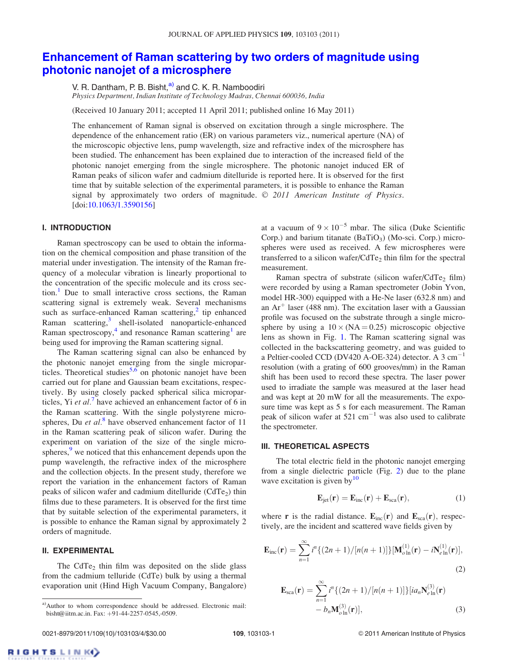# Enhancement of Raman scattering by two orders of magnitude using photonic nanojet of a microsphere

V. R. Dantham, P. B. Bisht, <sup>a)</sup> and C. K. R. Namboodiri

*Physics Department, Indian Institute of Technology Madras, Chennai 600036, India*

(Received 10 January 2011; accepted 11 April 2011; published online 16 May 2011)

The enhancement of Raman signal is observed on excitation through a single microsphere. The dependence of the enhancement ratio (ER) on various parameters viz., numerical aperture (NA) of the microscopic objective lens, pump wavelength, size and refractive index of the microsphere has been studied. The enhancement has been explained due to interaction of the increased field of the photonic nanojet emerging from the single microsphere. The photonic nanojet induced ER of Raman peaks of silicon wafer and cadmium ditelluride is reported here. It is observed for the first time that by suitable selection of the experimental parameters, it is possible to enhance the Raman signal by approximately two orders of magnitude. © 2011 American Institute of Physics. [doi:10.1063/1.3590156]

# I. INTRODUCTION

Raman spectroscopy can be used to obtain the information on the chemical composition and phase transition of the material under investigation. The intensity of the Raman frequency of a molecular vibration is linearly proportional to the concentration of the specific molecule and its cross sec- $\{\text{tion}\right\}$ . Due to small interactive cross sections, the Raman scattering signal is extremely weak. Several mechanisms such as surface-enhanced Raman scattering,<sup>2</sup> tip enhanced Raman scattering,<sup>3</sup> shell-isolated nanoparticle-enhanced Raman spectroscopy,<sup>4</sup> and resonance Raman scattering<sup>1</sup> are being used for improving the Raman scattering signal.

The Raman scattering signal can also be enhanced by the photonic nanojet emerging from the single microparticles. Theoretical studies<sup>5,6</sup> on photonic nanojet have been carried out for plane and Gaussian beam excitations, respectively. By using closely packed spherical silica microparticles, Yi *et al.*<sup>7</sup> have achieved an enhancement factor of 6 in the Raman scattering. With the single polystyrene microspheres, Du *et al.*<sup>8</sup> have observed enhancement factor of 11 in the Raman scattering peak of silicon wafer. During the experiment on variation of the size of the single microspheres, $\frac{9}{2}$  we noticed that this enhancement depends upon the pump wavelength, the refractive index of the microsphere and the collection objects. In the present study, therefore we report the variation in the enhancement factors of Raman peaks of silicon wafer and cadmium ditelluride  $(CdTe<sub>2</sub>)$  thin films due to these parameters. It is observed for the first time that by suitable selection of the experimental parameters, it is possible to enhance the Raman signal by approximately 2 orders of magnitude.

#### II. EXPERIMENTAL

The CdTe<sub>2</sub> thin film was deposited on the slide glass from the cadmium telluride (CdTe) bulk by using a thermal evaporation unit (Hind High Vacuum Company, Bangalore)

at a vacuum of  $9 \times 10^{-5}$  mbar. The silica (Duke Scientific Corp.) and barium titanate  $(BaTiO<sub>3</sub>)$  (Mo-sci. Corp.) microspheres were used as received. A few microspheres were transferred to a silicon wafer/ $CdTe<sub>2</sub>$  thin film for the spectral measurement.

Raman spectra of substrate (silicon wafer/CdTe<sub>2</sub> film) were recorded by using a Raman spectrometer (Jobin Yvon, model HR-300) equipped with a He-Ne laser (632.8 nm) and an  $Ar^+$  laser (488 nm). The excitation laser with a Gaussian profile was focused on the substrate through a single microsphere by using a  $10 \times (NA = 0.25)$  microscopic objective lens as shown in Fig. 1. The Raman scattering signal was collected in the backscattering geometry, and was guided to a Peltier-cooled CCD (DV420 A-OE-324) detector. A 3  $cm^{-1}$ resolution (with a grating of 600 grooves/mm) in the Raman shift has been used to record these spectra. The laser power used to irradiate the sample was measured at the laser head and was kept at 20 mW for all the measurements. The exposure time was kept as 5 s for each measurement. The Raman peak of silicon wafer at  $521 \text{ cm}^{-1}$  was also used to calibrate the spectrometer.

## III. THEORETICAL ASPECTS

The total electric field in the photonic nanojet emerging from a single dielectric particle (Fig. 2) due to the plane wave excitation is given by $10$ 

$$
\mathbf{E}_{\text{jet}}(\mathbf{r}) = \mathbf{E}_{\text{inc}}(\mathbf{r}) + \mathbf{E}_{\text{sca}}(\mathbf{r}),\tag{1}
$$

where **r** is the radial distance.  $E_{inc}(r)$  and  $E_{sca}(r)$ , respectively, are the incident and scattered wave fields given by

$$
\mathbf{E}_{\rm inc}(\mathbf{r}) = \sum_{n=1}^{\infty} i^n \{ (2n+1) / [n(n+1)] \} [\mathbf{M}_{o\ln}^{(1)}(\mathbf{r}) - i\mathbf{N}_{e\ln}^{(1)}(\mathbf{r})],
$$
\n(2)

$$
\mathbf{E}_{\text{sca}}(\mathbf{r}) = \sum_{n=1}^{\infty} i^n \{ (2n+1) / [n(n+1)] \} [ia_n \mathbf{N}_{e \ln}^{(3)}(\mathbf{r}) - b_n \mathbf{M}_{o \ln}^{(3)}(\mathbf{r})],
$$
(3)

a)Author to whom correspondence should be addressed. Electronic mail: bisht@iitm.ac.in. Fax: +91-44-2257-0545,-0509.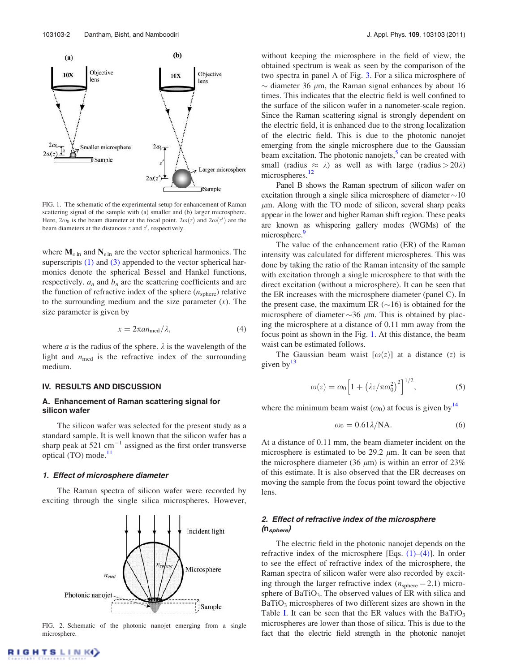

FIG. 1. The schematic of the experimental setup for enhancement of Raman scattering signal of the sample with (a) smaller and (b) larger microsphere. Here,  $2\omega_0$  is the beam diameter at the focal point.  $2\omega(z)$  and  $2\omega(z')$  are the beam diameters at the distances *z* and *z'*, respectively.

where  $M_{\text{o} \ln}$  and  $N_{e \ln}$  are the vector spherical harmonics. The superscripts  $(1)$  and  $(3)$  appended to the vector spherical harmonics denote the spherical Bessel and Hankel functions, respectively.  $a_n$  and  $b_n$  are the scattering coefficients and are the function of refractive index of the sphere  $(n_{\text{sphere}})$  relative to the surrounding medium and the size parameter (*x*). The size parameter is given by

$$
x = 2\pi a n_{\text{med}}/\lambda,\tag{4}
$$

where *a* is the radius of the sphere.  $\lambda$  is the wavelength of the light and  $n_{\text{med}}$  is the refractive index of the surrounding medium.

#### IV. RESULTS AND DISCUSSION

# A. Enhancement of Raman scattering signal for silicon wafer

The silicon wafer was selected for the present study as a standard sample. It is well known that the silicon wafer has a sharp peak at  $521 \text{ cm}^{-1}$  assigned as the first order transverse optical (TO) mode.<sup>11</sup>

#### 1. Effect of microsphere diameter

The Raman spectra of silicon wafer were recorded by exciting through the single silica microspheres. However,



FIG. 2. Schematic of the photonic nanojet emerging from a single microsphere.

without keeping the microsphere in the field of view, the obtained spectrum is weak as seen by the comparison of the two spectra in panel A of Fig. 3. For a silica microsphere of  $\sim$  diameter 36  $\mu$ m, the Raman signal enhances by about 16 times. This indicates that the electric field is well confined to the surface of the silicon wafer in a nanometer-scale region. Since the Raman scattering signal is strongly dependent on the electric field, it is enhanced due to the strong localization of the electric field. This is due to the photonic nanojet emerging from the single microsphere due to the Gaussian beam excitation. The photonic nanojets,<sup>5</sup> can be created with small (radius  $\approx \lambda$ ) as well as with large (radius  $> 20\lambda$ ) microspheres.<sup>12</sup>

Panel B shows the Raman spectrum of silicon wafer on excitation through a single silica microsphere of diameter  $\sim10$  $\mu$ m. Along with the TO mode of silicon, several sharp peaks appear in the lower and higher Raman shift region. These peaks are known as whispering gallery modes (WGMs) of the microsphere.<sup>9</sup>

The value of the enhancement ratio (ER) of the Raman intensity was calculated for different microspheres. This was done by taking the ratio of the Raman intensity of the sample with excitation through a single microsphere to that with the direct excitation (without a microsphere). It can be seen that the ER increases with the microsphere diameter (panel C). In the present case, the maximum ER  $(\sim 16)$  is obtained for the microsphere of diameter  $\sim$ 36  $\mu$ m. This is obtained by placing the microsphere at a distance of 0.11 mm away from the focus point as shown in the Fig. 1. At this distance, the beam waist can be estimated follows.

The Gaussian beam waist  $[\omega(z)]$  at a distance (*z*) is given by  $13$ 

$$
\omega(z) = \omega_0 \left[ 1 + \left( \lambda z / \pi \omega_0^2 \right)^2 \right]^{1/2},\tag{5}
$$

where the minimum beam waist  $(\omega_0)$  at focus is given by<sup>14</sup>

$$
\omega_0 = 0.61 \lambda / \text{NA}.\tag{6}
$$

At a distance of 0.11 mm, the beam diameter incident on the microsphere is estimated to be 29.2  $\mu$ m. It can be seen that the microsphere diameter (36  $\mu$ m) is within an error of 23% of this estimate. It is also observed that the ER decreases on moving the sample from the focus point toward the objective lens.

# 2. Effect of refractive index of the microsphere  $(n_{sphere})$

The electric field in the photonic nanojet depends on the refractive index of the microsphere [Eqs.  $(1)$ – $(4)$ ]. In order to see the effect of refractive index of the microsphere, the Raman spectra of silicon wafer were also recorded by exciting through the larger refractive index  $(n_{\text{sphere}} = 2.1)$  microsphere of BaTiO<sub>3</sub>. The observed values of ER with silica and  $BaTiO<sub>3</sub>$  microspheres of two different sizes are shown in the Table I. It can be seen that the ER values with the BaTiO<sub>3</sub> microspheres are lower than those of silica. This is due to the fact that the electric field strength in the photonic nanojet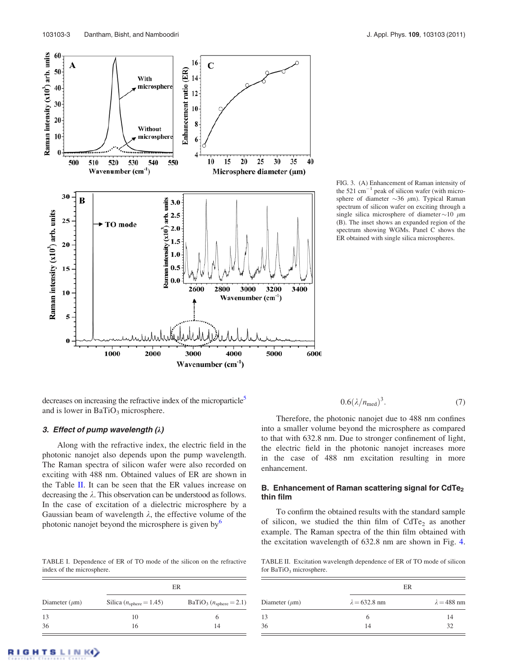

FIG. 3. (A) Enhancement of Raman intensity of the 521  $\text{cm}^{-1}$  peak of silicon wafer (with microsphere of diameter  $\sim$ 36  $\mu$ m). Typical Raman spectrum of silicon wafer on exciting through a single silica microsphere of diameter  $\sim$  10  $\mu$ m (B). The inset shows an expanded region of the spectrum showing WGMs. Panel C shows the ER obtained with single silica microspheres.

decreases on increasing the refractive index of the microparticle<sup>5</sup> and is lower in  $BaTiO<sub>3</sub>$  microsphere.

# 3. Effect of pump wavelength  $(\lambda)$

Along with the refractive index, the electric field in the photonic nanojet also depends upon the pump wavelength. The Raman spectra of silicon wafer were also recorded on exciting with 488 nm. Obtained values of ER are shown in the Table II. It can be seen that the ER values increase on decreasing the  $\lambda$ . This observation can be understood as follows. In the case of excitation of a dielectric microsphere by a Gaussian beam of wavelength  $\lambda$ , the effective volume of the photonic nanojet beyond the microsphere is given by $<sup>6</sup>$ </sup>

TABLE I. Dependence of ER of TO mode of the silicon on the refractive index of the microsphere.

| Diameter $(\mu m)$ | ER                                    |                              |
|--------------------|---------------------------------------|------------------------------|
|                    | Silica ( $n_{\text{sphere}} = 1.45$ ) | $BaTiO3$ ( $nsphere = 2.1$ ) |
| 13                 | 10                                    | o                            |
| 36                 | 16                                    | 14                           |

$$
0.6(\lambda/n_{\rm med})^3. \tag{7}
$$

Therefore, the photonic nanojet due to 488 nm confines into a smaller volume beyond the microsphere as compared to that with 632.8 nm. Due to stronger confinement of light, the electric field in the photonic nanojet increases more in the case of 488 nm excitation resulting in more enhancement.

# B. Enhancement of Raman scattering signal for CdTe<sub>2</sub> thin film

To confirm the obtained results with the standard sample of silicon, we studied the thin film of  $CdTe<sub>2</sub>$  as another example. The Raman spectra of the thin film obtained with the excitation wavelength of 632.8 nm are shown in Fig. 4.

TABLE II. Excitation wavelength dependence of ER of TO mode of silicon for BaTiO<sub>3</sub> microsphere.

|                    | ER                   |                    |  |
|--------------------|----------------------|--------------------|--|
| Diameter $(\mu m)$ | $\lambda = 632.8$ nm | $\lambda = 488$ nm |  |
| 13                 | h                    | 14                 |  |
| 36                 | 14                   | 32                 |  |